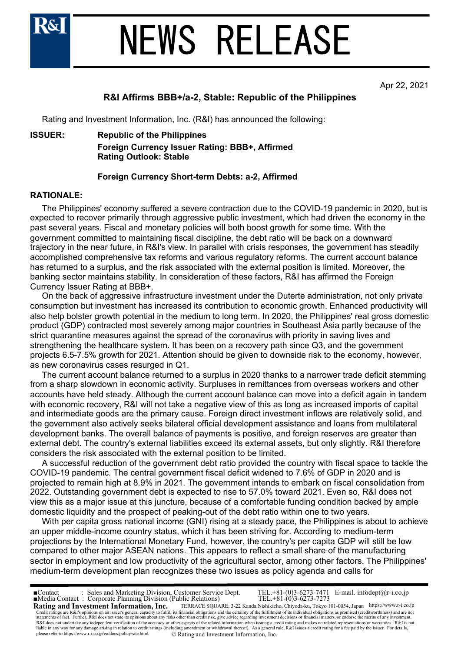

# NEWS RELEASE

Apr 22, 2021

# **R&I Affirms BBB+/a-2, Stable: Republic of the Philippines**

Rating and Investment Information, Inc. (R&I) has announced the following:

## **ISSUER: Republic of the Philippines**

**Foreign Currency Issuer Rating: BBB+, Affirmed Rating Outlook: Stable**

## **Foreign Currency Short-term Debts: a-2, Affirmed**

## **RATIONALE:**

 The Philippines' economy suffered a severe contraction due to the COVID-19 pandemic in 2020, but is expected to recover primarily through aggressive public investment, which had driven the economy in the past several years. Fiscal and monetary policies will both boost growth for some time. With the government committed to maintaining fiscal discipline, the debt ratio will be back on a downward trajectory in the near future, in R&I's view. In parallel with crisis responses, the government has steadily accomplished comprehensive tax reforms and various regulatory reforms. The current account balance has returned to a surplus, and the risk associated with the external position is limited. Moreover, the banking sector maintains stability. In consideration of these factors, R&I has affirmed the Foreign Currency Issuer Rating at BBB+.

 On the back of aggressive infrastructure investment under the Duterte administration, not only private consumption but investment has increased its contribution to economic growth. Enhanced productivity will also help bolster growth potential in the medium to long term. In 2020, the Philippines' real gross domestic product (GDP) contracted most severely among major countries in Southeast Asia partly because of the strict quarantine measures against the spread of the coronavirus with priority in saving lives and strengthening the healthcare system. It has been on a recovery path since Q3, and the government projects 6.5-7.5% growth for 2021. Attention should be given to downside risk to the economy, however, as new coronavirus cases resurged in Q1.

 The current account balance returned to a surplus in 2020 thanks to a narrower trade deficit stemming from a sharp slowdown in economic activity. Surpluses in remittances from overseas workers and other accounts have held steady. Although the current account balance can move into a deficit again in tandem with economic recovery, R&I will not take a negative view of this as long as increased imports of capital and intermediate goods are the primary cause. Foreign direct investment inflows are relatively solid, and the government also actively seeks bilateral official development assistance and loans from multilateral development banks. The overall balance of payments is positive, and foreign reserves are greater than external debt. The country's external liabilities exceed its external assets, but only slightly. R&I therefore considers the risk associated with the external position to be limited.

 A successful reduction of the government debt ratio provided the country with fiscal space to tackle the COVID-19 pandemic. The central government fiscal deficit widened to 7.6% of GDP in 2020 and is projected to remain high at 8.9% in 2021. The government intends to embark on fiscal consolidation from 2022. Outstanding government debt is expected to rise to 57.0% toward 2021. Even so, R&I does not view this as a major issue at this juncture, because of a comfortable funding condition backed by ample domestic liquidity and the prospect of peaking-out of the debt ratio within one to two years.

 With per capita gross national income (GNI) rising at a steady pace, the Philippines is about to achieve an upper middle-income country status, which it has been striving for. According to medium-term projections by the International Monetary Fund, however, the country's per capita GDP will still be low compared to other major ASEAN nations. This appears to reflect a small share of the manufacturing sector in employment and low productivity of the agricultural sector, among other factors. The Philippines' medium-term development plan recognizes these two issues as policy agenda and calls for

**Rating and Investment Information, Inc.** TERRACE SQUARE, 3-22 Kanda Nishikicho, Chiyoda-ku, Tokyo 101-0054, Japan https://www.r-i.co.jp<br>Credit ratings are R&T's opinions on an issuer's general capacity to fulfill its fina ■Contact : Sales and Marketing Division, Customer Service Dept. TEL.+81-(0)3-6273-7471 E-mail. infodept@r-i.co.jp please refer to https://www.r-i.co.jp/en/docs/policy/site.html. © Rating and Investment Information, Inc. ■Media Contact : Corporate Planning Division (Public Relations) TEL.+81-(0)3-6273-7273